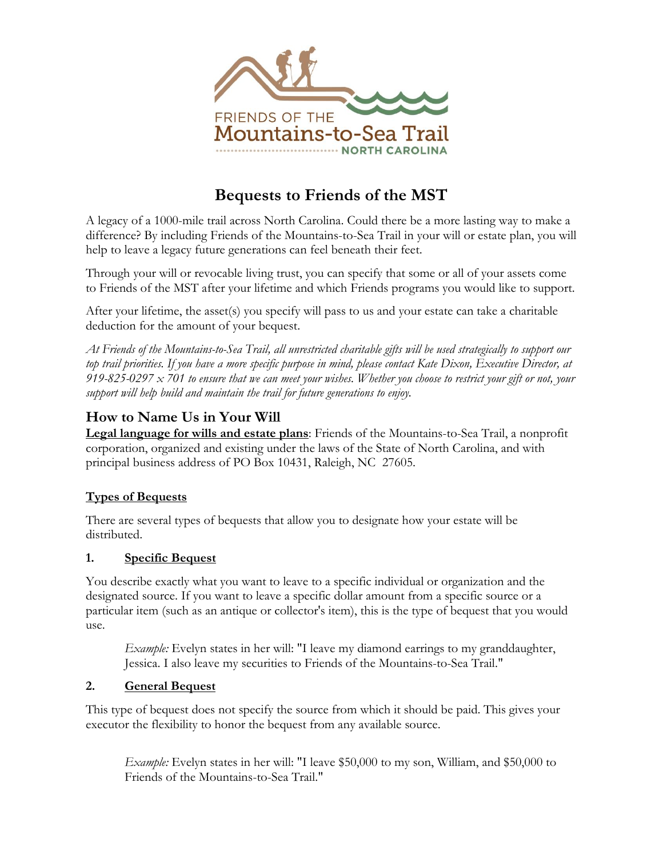

# **Bequests to Friends of the MST**

A legacy of a 1000-mile trail across North Carolina. Could there be a more lasting way to make a difference? By including Friends of the Mountains-to-Sea Trail in your will or estate plan, you will help to leave a legacy future generations can feel beneath their feet.

Through your will or revocable living trust, you can specify that some or all of your assets come to Friends of the MST after your lifetime and which Friends programs you would like to support.

After your lifetime, the asset(s) you specify will pass to us and your estate can take a charitable deduction for the amount of your bequest.

*At Friends of the Mountains-to-Sea Trail, all unrestricted charitable gifts will be used strategically to support our top trail priorities. If you have a more specific purpose in mind, please contact Kate Dixon, Executive Director, at 919-825-0297 x 701 to ensure that we can meet your wishes. Whether you choose to restrict your gift or not, your support will help build and maintain the trail for future generations to enjoy.*

## **How to Name Us in Your Will**

**Legal language for wills and estate plans**: Friends of the Mountains-to-Sea Trail, a nonprofit corporation, organized and existing under the laws of the State of North Carolina, and with principal business address of PO Box 10431, Raleigh, NC 27605.

### **Types of Bequests**

There are several types of bequests that allow you to designate how your estate will be distributed.

### **1. Specific Bequest**

You describe exactly what you want to leave to a specific individual or organization and the designated source. If you want to leave a specific dollar amount from a specific source or a particular item (such as an antique or collector's item), this is the type of bequest that you would use.

*Example:* Evelyn states in her will: "I leave my diamond earrings to my granddaughter, Jessica. I also leave my securities to Friends of the Mountains-to-Sea Trail."

### **2. General Bequest**

This type of bequest does not specify the source from which it should be paid. This gives your executor the flexibility to honor the bequest from any available source.

*Example:* Evelyn states in her will: "I leave \$50,000 to my son, William, and \$50,000 to Friends of the Mountains-to-Sea Trail."